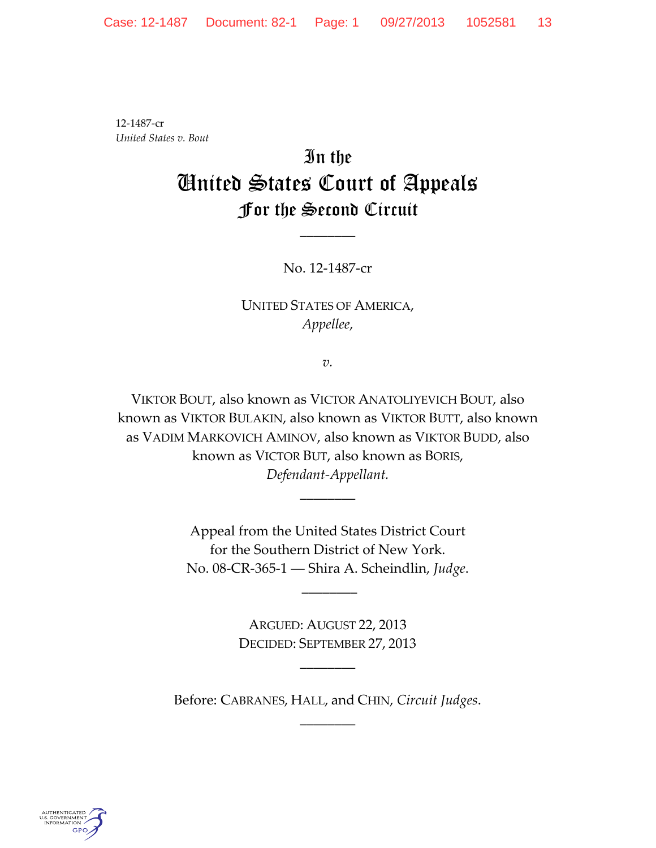12-1487-cr *United States v. Bout*

# In the United States Court of Appeals For the Second Circuit

No. 12-1487-cr

\_\_\_\_\_\_\_\_

## UNITED STATES OF AMERICA, *Appellee*,

*v.*

VIKTOR BOUT, also known as VICTOR ANATOLIYEVICH BOUT, also known as VIKTOR BULAKIN, also known as VIKTOR BUTT, also known as VADIM MARKOVICH AMINOV, also known as VIKTOR BUDD, also known as VICTOR BUT, also known as BORIS, *Defendant-Appellant.*

> Appeal from the United States District Court for the Southern District of New York. No. 08-CR-365-1 ― Shira A. Scheindlin, *Judge*.

> > \_\_\_\_\_\_\_\_

\_\_\_\_\_\_\_\_

ARGUED: AUGUST 22, 2013 DECIDED: SEPTEMBER 27, 2013

\_\_\_\_\_\_\_\_

Before: CABRANES, HALL, and CHIN, *Circuit Judges*.  $\overline{\phantom{a}}$ 

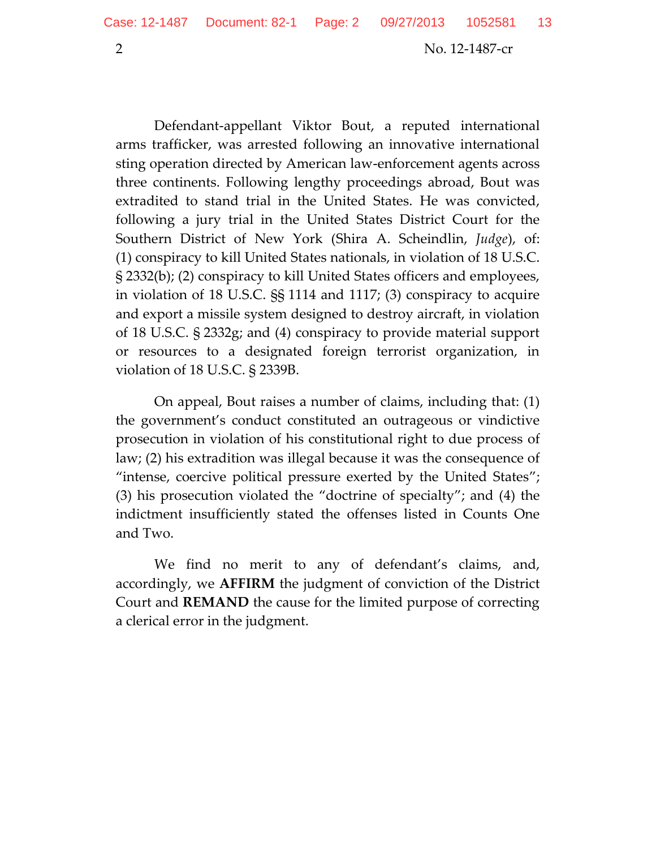Defendant-appellant Viktor Bout, a reputed international arms trafficker, was arrested following an innovative international sting operation directed by American law-enforcement agents across three continents. Following lengthy proceedings abroad, Bout was extradited to stand trial in the United States. He was convicted, following a jury trial in the United States District Court for the Southern District of New York (Shira A. Scheindlin, *Judge*), of: (1) conspiracy to kill United States nationals, in violation of 18 U.S.C. § 2332(b); (2) conspiracy to kill United States officers and employees, in violation of 18 U.S.C. §§ 1114 and 1117; (3) conspiracy to acquire and export a missile system designed to destroy aircraft, in violation of 18 U.S.C. § 2332g; and (4) conspiracy to provide material support or resources to a designated foreign terrorist organization, in violation of 18 U.S.C. § 2339B.

On appeal, Bout raises a number of claims, including that: (1) the government's conduct constituted an outrageous or vindictive prosecution in violation of his constitutional right to due process of law; (2) his extradition was illegal because it was the consequence of "intense, coercive political pressure exerted by the United States"; (3) his prosecution violated the "doctrine of specialty"; and (4) the indictment insufficiently stated the offenses listed in Counts One and Two.

We find no merit to any of defendant's claims, and, accordingly, we **AFFIRM** the judgment of conviction of the District Court and **REMAND** the cause for the limited purpose of correcting a clerical error in the judgment.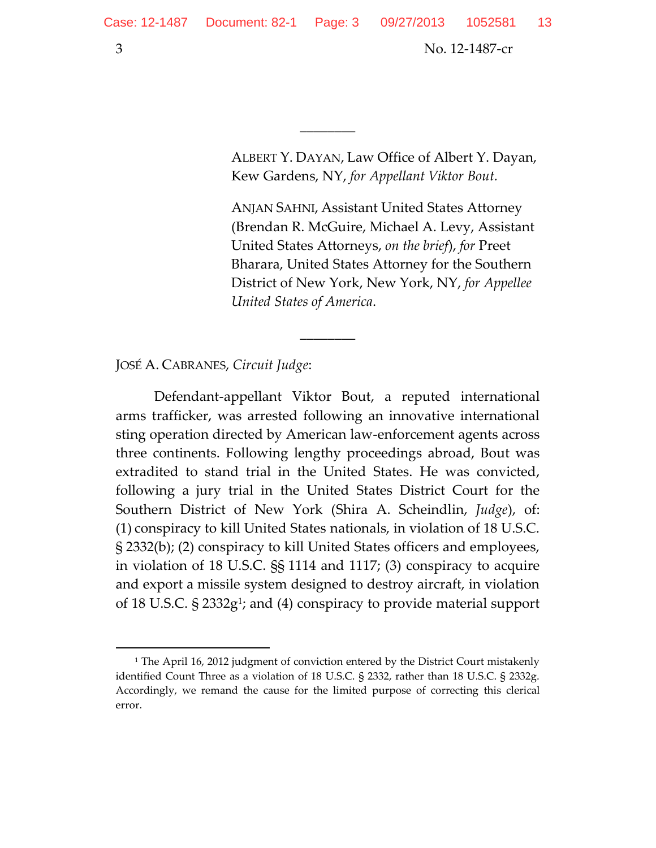ALBERT Y. DAYAN, Law Office of Albert Y. Dayan, Kew Gardens, NY, *for Appellant Viktor Bout.*

 $\overline{\phantom{a}}$ 

ANJAN SAHNI, Assistant United States Attorney (Brendan R. McGuire, Michael A. Levy, Assistant United States Attorneys, *on the brief*), *for* Preet Bharara, United States Attorney for the Southern District of New York, New York, NY, *for Appellee United States of America*.

JOSÉ A. CABRANES, *Circuit Judge*:

Defendant-appellant Viktor Bout, a reputed international arms trafficker, was arrested following an innovative international sting operation directed by American law-enforcement agents across three continents. Following lengthy proceedings abroad, Bout was extradited to stand trial in the United States. He was convicted, following a jury trial in the United States District Court for the Southern District of New York (Shira A. Scheindlin, *Judge*), of: (1) conspiracy to kill United States nationals, in violation of 18 U.S.C. § 2332(b); (2) conspiracy to kill United States officers and employees, in violation of 18 U.S.C. §§ 1114 and 1117; (3) conspiracy to acquire and export a missile system designed to destroy aircraft, in violation of 18 U.S.C. § 2332g<sup>1</sup>; and (4) conspiracy to provide material support

 $\overline{\phantom{a}}$ 

<sup>&</sup>lt;sup>1</sup> The April 16, 2012 judgment of conviction entered by the District Court mistakenly identified Count Three as a violation of 18 U.S.C. § 2332, rather than 18 U.S.C. § 2332g. Accordingly, we remand the cause for the limited purpose of correcting this clerical error.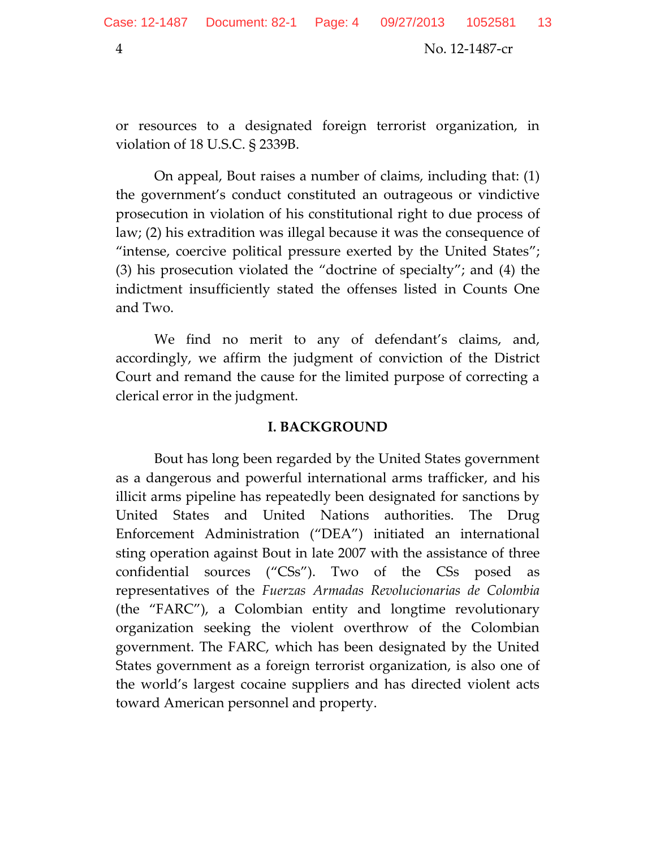or resources to a designated foreign terrorist organization, in violation of 18 U.S.C. § 2339B.

On appeal, Bout raises a number of claims, including that: (1) the government's conduct constituted an outrageous or vindictive prosecution in violation of his constitutional right to due process of law; (2) his extradition was illegal because it was the consequence of "intense, coercive political pressure exerted by the United States"; (3) his prosecution violated the "doctrine of specialty"; and (4) the indictment insufficiently stated the offenses listed in Counts One and Two.

We find no merit to any of defendant's claims, and, accordingly, we affirm the judgment of conviction of the District Court and remand the cause for the limited purpose of correcting a clerical error in the judgment.

#### **I. BACKGROUND**

Bout has long been regarded by the United States government as a dangerous and powerful international arms trafficker, and his illicit arms pipeline has repeatedly been designated for sanctions by United States and United Nations authorities. The Drug Enforcement Administration ("DEA") initiated an international sting operation against Bout in late 2007 with the assistance of three confidential sources ("CSs"). Two of the CSs posed as representatives of the *Fuerzas Armadas Revolucionarias de Colombia* (the "FARC"), a Colombian entity and longtime revolutionary organization seeking the violent overthrow of the Colombian government. The FARC, which has been designated by the United States government as a foreign terrorist organization, is also one of the world's largest cocaine suppliers and has directed violent acts toward American personnel and property.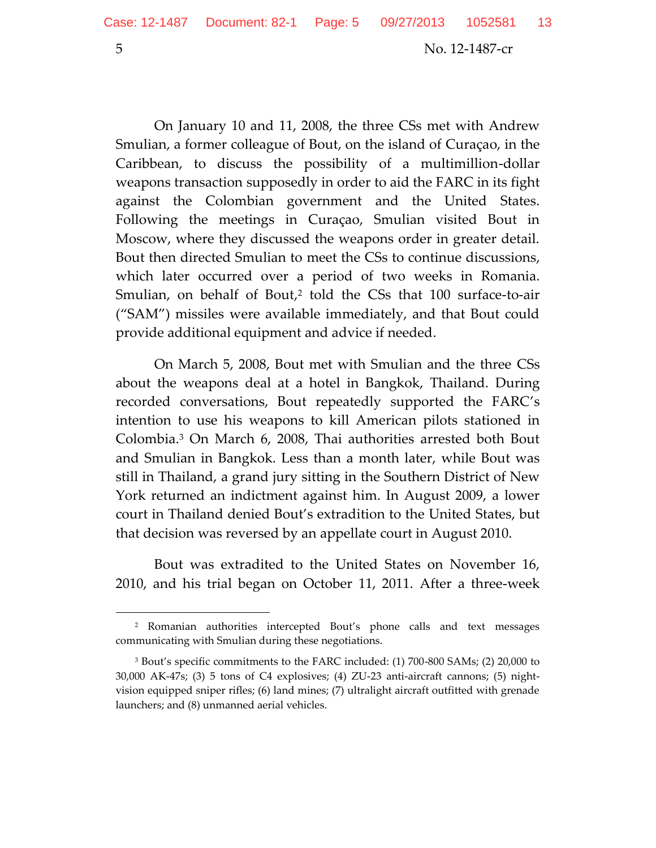On January 10 and 11, 2008, the three CSs met with Andrew Smulian, a former colleague of Bout, on the island of Curaçao, in the Caribbean, to discuss the possibility of a multimillion-dollar weapons transaction supposedly in order to aid the FARC in its fight against the Colombian government and the United States. Following the meetings in Curaçao, Smulian visited Bout in Moscow, where they discussed the weapons order in greater detail. Bout then directed Smulian to meet the CSs to continue discussions, which later occurred over a period of two weeks in Romania. Smulian, on behalf of Bout,<sup>2</sup> told the CSs that 100 surface-to-air ("SAM") missiles were available immediately, and that Bout could provide additional equipment and advice if needed.

On March 5, 2008, Bout met with Smulian and the three CSs about the weapons deal at a hotel in Bangkok, Thailand. During recorded conversations, Bout repeatedly supported the FARC's intention to use his weapons to kill American pilots stationed in Colombia. <sup>3</sup> On March 6, 2008, Thai authorities arrested both Bout and Smulian in Bangkok. Less than a month later, while Bout was still in Thailand, a grand jury sitting in the Southern District of New York returned an indictment against him. In August 2009, a lower court in Thailand denied Bout's extradition to the United States, but that decision was reversed by an appellate court in August 2010.

Bout was extradited to the United States on November 16, 2010, and his trial began on October 11, 2011. After a three-week

<sup>2</sup> Romanian authorities intercepted Bout's phone calls and text messages communicating with Smulian during these negotiations.

<sup>3</sup> Bout's specific commitments to the FARC included: (1) 700-800 SAMs; (2) 20,000 to 30,000 AK-47s; (3) 5 tons of C4 explosives; (4) ZU-23 anti-aircraft cannons; (5) nightvision equipped sniper rifles; (6) land mines; (7) ultralight aircraft outfitted with grenade launchers; and (8) unmanned aerial vehicles.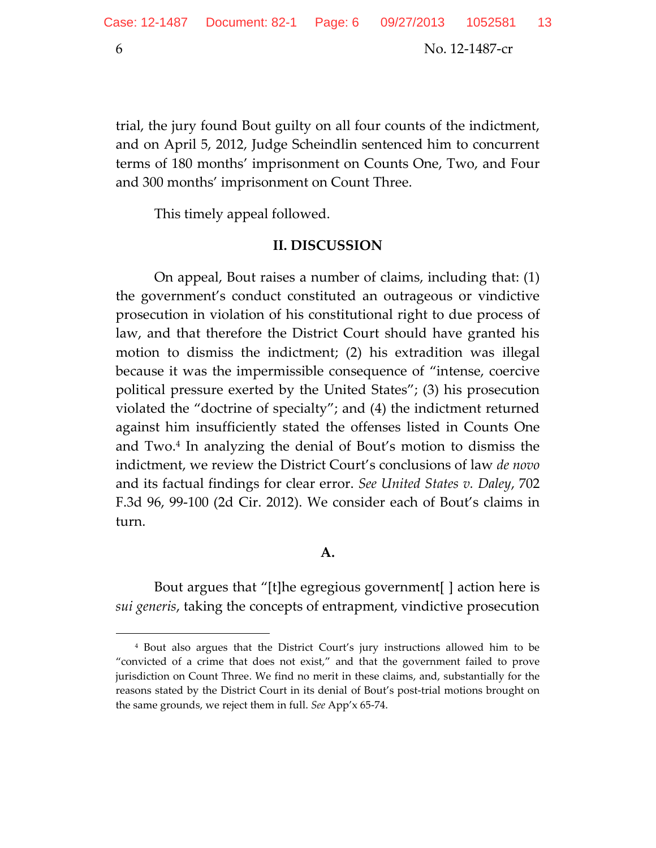$\overline{\phantom{a}}$ 

6 No. 12-1487-cr

trial, the jury found Bout guilty on all four counts of the indictment, and on April 5, 2012, Judge Scheindlin sentenced him to concurrent terms of 180 months' imprisonment on Counts One, Two, and Four and 300 months' imprisonment on Count Three.

This timely appeal followed.

#### **II. DISCUSSION**

On appeal, Bout raises a number of claims, including that: (1) the government's conduct constituted an outrageous or vindictive prosecution in violation of his constitutional right to due process of law, and that therefore the District Court should have granted his motion to dismiss the indictment; (2) his extradition was illegal because it was the impermissible consequence of "intense, coercive political pressure exerted by the United States"; (3) his prosecution violated the "doctrine of specialty"; and (4) the indictment returned against him insufficiently stated the offenses listed in Counts One and Two. 4 In analyzing the denial of Bout's motion to dismiss the indictment, we review the District Court's conclusions of law *de novo* and its factual findings for clear error. *See United States v. Daley*, 702 F.3d 96, 99-100 (2d Cir. 2012). We consider each of Bout's claims in turn.

#### **A.**

Bout argues that "[t]he egregious government[ ] action here is *sui generis*, taking the concepts of entrapment, vindictive prosecution

<sup>4</sup> Bout also argues that the District Court's jury instructions allowed him to be "convicted of a crime that does not exist," and that the government failed to prove jurisdiction on Count Three. We find no merit in these claims, and, substantially for the reasons stated by the District Court in its denial of Bout's post-trial motions brought on the same grounds, we reject them in full. *See* App'x 65-74.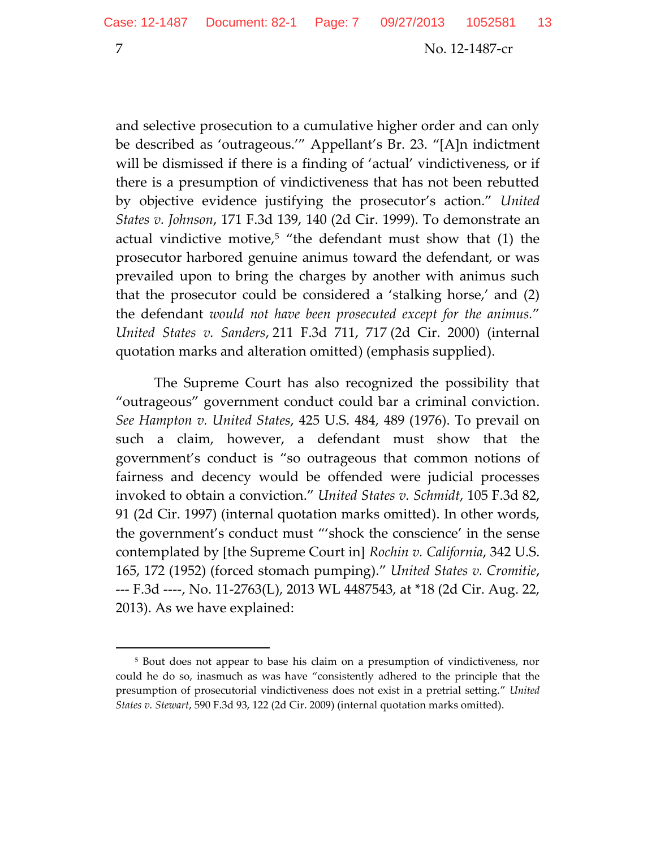and selective prosecution to a cumulative higher order and can only be described as 'outrageous.'" Appellant's Br. 23. "[A]n indictment will be dismissed if there is a finding of 'actual' vindictiveness, or if there is a presumption of vindictiveness that has not been rebutted by objective evidence justifying the prosecutor's action." *United States v. Johnson*, 171 F.3d 139, 140 (2d Cir. 1999). To demonstrate an actual vindictive motive,<sup>5</sup> "the defendant must show that  $(1)$  the prosecutor harbored genuine animus toward the defendant, or was prevailed upon to bring the charges by another with animus such that the prosecutor could be considered a 'stalking horse,' and (2) the defendant *would not have been prosecuted except for the animus.*" *United States v. Sanders*, 211 F.3d 711, 717 (2d Cir. 2000) (internal quotation marks and alteration omitted) (emphasis supplied).

The Supreme Court has also recognized the possibility that "outrageous" government conduct could bar a criminal conviction. *See Hampton v. United States*, 425 U.S. 484, 489 (1976). To prevail on such a claim, however, a defendant must show that the government's conduct is "so outrageous that common notions of fairness and decency would be offended were judicial processes invoked to obtain a conviction." *United States v. Schmidt*, 105 F.3d 82, 91 (2d Cir. 1997) (internal quotation marks omitted). In other words, the government's conduct must "'shock the conscience' in the sense contemplated by [the Supreme Court in] *Rochin v. California*, 342 U.S. 165, 172 (1952) (forced stomach pumping)." *United States v. Cromitie*, --- F.3d ----, No. 11-2763(L), 2013 WL 4487543, at \*18 (2d Cir. Aug. 22, 2013). As we have explained:

<sup>5</sup> Bout does not appear to base his claim on a presumption of vindictiveness, nor could he do so, inasmuch as was have "consistently adhered to the principle that the presumption of prosecutorial vindictiveness does not exist in a pretrial setting." *United States v. Stewart*, 590 F.3d 93, 122 (2d Cir. 2009) (internal quotation marks omitted).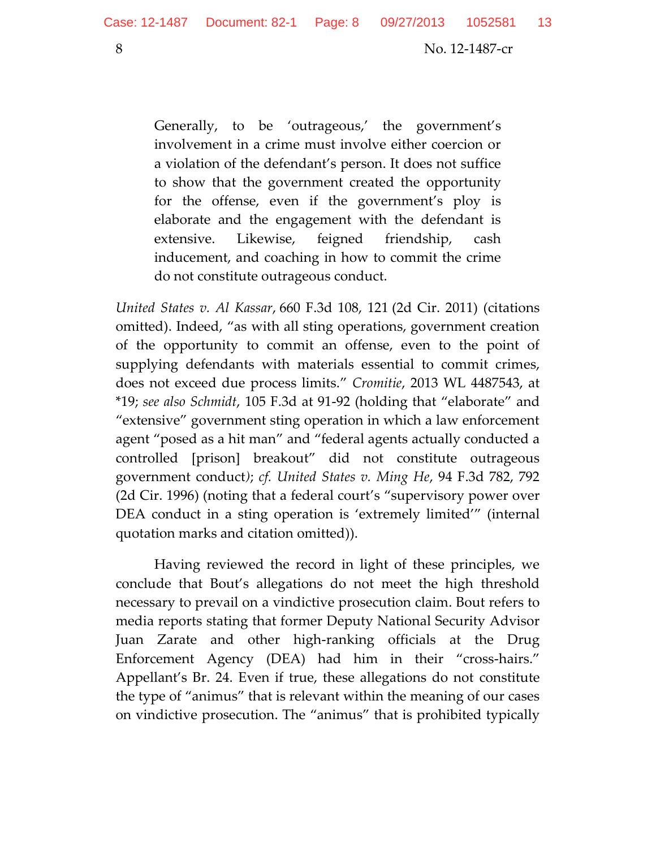Generally, to be 'outrageous,' the government's involvement in a crime must involve either coercion or a violation of the defendant's person. It does not suffice to show that the government created the opportunity for the offense, even if the government's ploy is elaborate and the engagement with the defendant is extensive. Likewise, feigned friendship, cash inducement, and coaching in how to commit the crime do not constitute outrageous conduct.

*United States v. Al Kassar*, 660 F.3d 108, 121 (2d Cir. 2011) (citations omitted). Indeed, "as with all sting operations, government creation of the opportunity to commit an offense, even to the point of supplying defendants with materials essential to commit crimes, does not exceed due process limits." *Cromitie*, 2013 WL 4487543, at \*19; *see also Schmidt*, 105 F.3d at 91-92 (holding that "elaborate" and "extensive" government sting operation in which a law enforcement agent "posed as a hit man" and "federal agents actually conducted a controlled [prison] breakout" did not constitute outrageous government conduct*)*; *cf. United States v. Ming He*, 94 F.3d 782, 792 (2d Cir. 1996) (noting that a federal court's "supervisory power over DEA conduct in a sting operation is 'extremely limited'" (internal quotation marks and citation omitted)).

Having reviewed the record in light of these principles, we conclude that Bout's allegations do not meet the high threshold necessary to prevail on a vindictive prosecution claim. Bout refers to media reports stating that former Deputy National Security Advisor Juan Zarate and other high-ranking officials at the Drug Enforcement Agency (DEA) had him in their "cross-hairs." Appellant's Br. 24. Even if true, these allegations do not constitute the type of "animus" that is relevant within the meaning of our cases on vindictive prosecution. The "animus" that is prohibited typically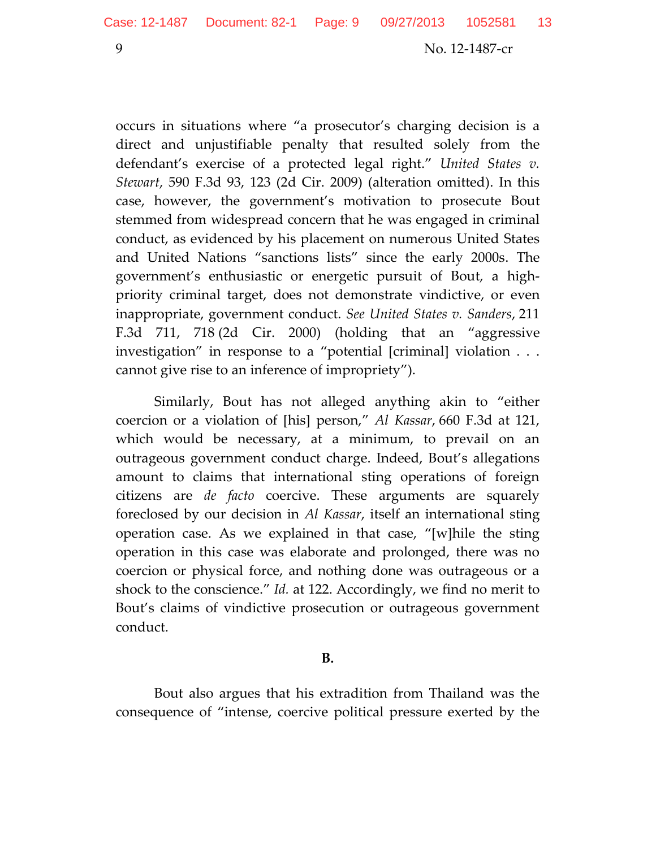occurs in situations where "a prosecutor's charging decision is a direct and unjustifiable penalty that resulted solely from the defendant's exercise of a protected legal right." *United States v. Stewart*, 590 F.3d 93, 123 (2d Cir. 2009) (alteration omitted). In this case, however, the government's motivation to prosecute Bout stemmed from widespread concern that he was engaged in criminal conduct, as evidenced by his placement on numerous United States and United Nations "sanctions lists" since the early 2000s. The government's enthusiastic or energetic pursuit of Bout, a highpriority criminal target, does not demonstrate vindictive, or even inappropriate, government conduct. *See United States v. Sanders*, 211 F.3d 711, 718 (2d Cir. 2000) (holding that an "aggressive investigation" in response to a "potential [criminal] violation . . . cannot give rise to an inference of impropriety").

Similarly, Bout has not alleged anything akin to "either coercion or a violation of [his] person," *Al Kassar*, 660 F.3d at 121, which would be necessary, at a minimum, to prevail on an outrageous government conduct charge. Indeed, Bout's allegations amount to claims that international sting operations of foreign citizens are *de facto* coercive. These arguments are squarely foreclosed by our decision in *Al Kassar*, itself an international sting operation case. As we explained in that case, "[w]hile the sting operation in this case was elaborate and prolonged, there was no coercion or physical force, and nothing done was outrageous or a shock to the conscience." *Id.* at 122. Accordingly, we find no merit to Bout's claims of vindictive prosecution or outrageous government conduct.

#### **B.**

Bout also argues that his extradition from Thailand was the consequence of "intense, coercive political pressure exerted by the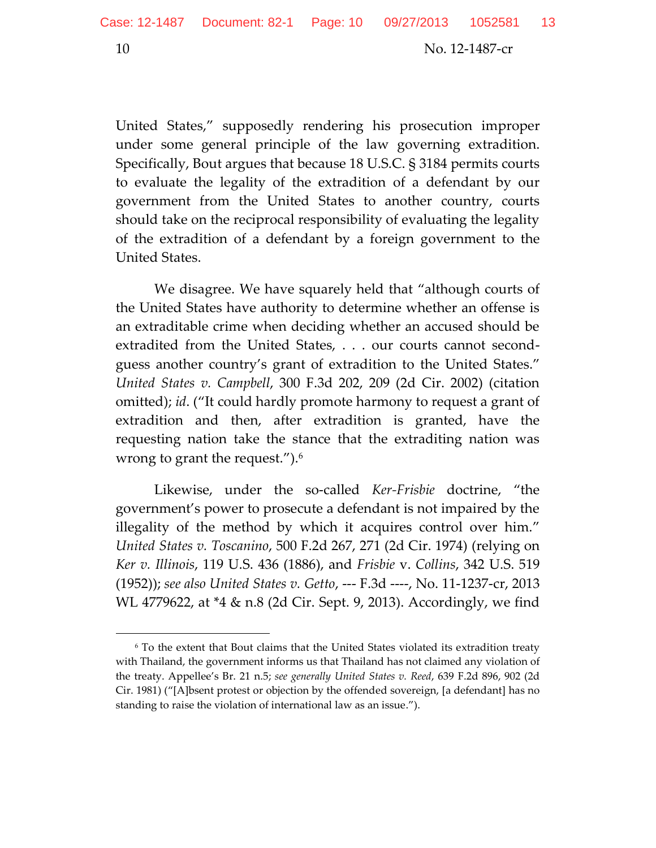United States," supposedly rendering his prosecution improper under some general principle of the law governing extradition. Specifically, Bout argues that because 18 U.S.C. § 3184 permits courts to evaluate the legality of the extradition of a defendant by our government from the United States to another country, courts should take on the reciprocal responsibility of evaluating the legality of the extradition of a defendant by a foreign government to the United States.

We disagree. We have squarely held that "although courts of the United States have authority to determine whether an offense is an extraditable crime when deciding whether an accused should be extradited from the United States, . . . our courts cannot secondguess another country's grant of extradition to the United States." *United States v. Campbell*, 300 F.3d 202, 209 (2d Cir. 2002) (citation omitted); *id*. ("It could hardly promote harmony to request a grant of extradition and then, after extradition is granted, have the requesting nation take the stance that the extraditing nation was wrong to grant the request.").<sup>6</sup>

Likewise, under the so-called *Ker-Frisbie* doctrine, "the government's power to prosecute a defendant is not impaired by the illegality of the method by which it acquires control over him." *United States v. Toscanino*, 500 F.2d 267, 271 (2d Cir. 1974) (relying on *Ker v. Illinois*, 119 U.S. 436 (1886), and *Frisbie* v. *Collins*, 342 U.S. 519 (1952)); *see also United States v. Getto*, --- F.3d ----, No. 11-1237-cr, 2013 WL 4779622, at \*4 & n.8 (2d Cir. Sept. 9, 2013). Accordingly, we find

<sup>6</sup> To the extent that Bout claims that the United States violated its extradition treaty with Thailand, the government informs us that Thailand has not claimed any violation of the treaty. Appellee's Br. 21 n.5; *see generally United States v. Reed*, 639 F.2d 896, 902 (2d Cir. 1981) ("[A]bsent protest or objection by the offended sovereign, [a defendant] has no standing to raise the violation of international law as an issue.").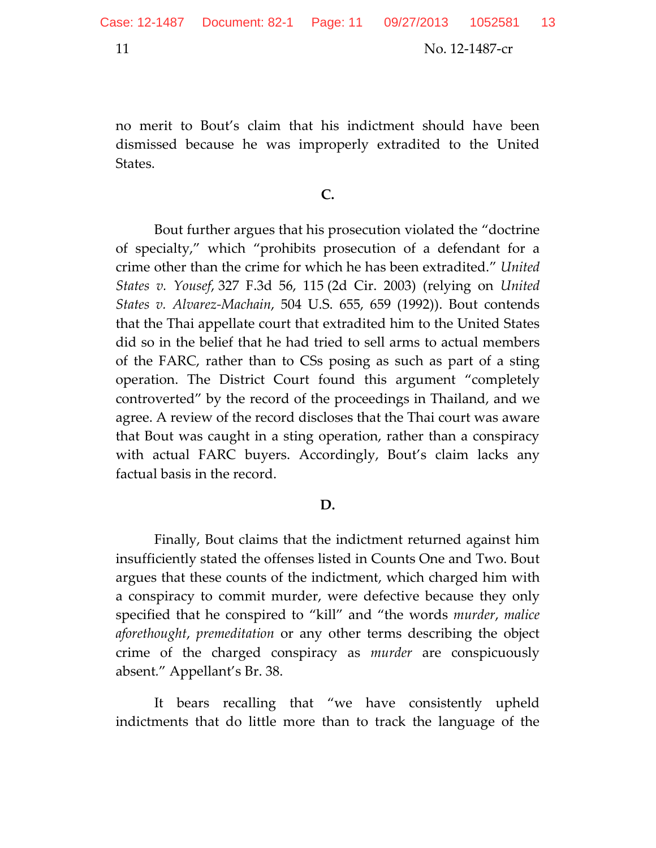no merit to Bout's claim that his indictment should have been dismissed because he was improperly extradited to the United States.

**C.** 

Bout further argues that his prosecution violated the "doctrine of specialty," which "prohibits prosecution of a defendant for a crime other than the crime for which he has been extradited." *United States v. Yousef*, 327 F.3d 56, 115 (2d Cir. 2003) (relying on *United States v. Alvarez-Machain*, 504 U.S. 655, 659 (1992)). Bout contends that the Thai appellate court that extradited him to the United States did so in the belief that he had tried to sell arms to actual members of the FARC, rather than to CSs posing as such as part of a sting operation. The District Court found this argument "completely controverted" by the record of the proceedings in Thailand, and we agree. A review of the record discloses that the Thai court was aware that Bout was caught in a sting operation, rather than a conspiracy with actual FARC buyers. Accordingly, Bout's claim lacks any factual basis in the record.

#### **D.**

Finally, Bout claims that the indictment returned against him insufficiently stated the offenses listed in Counts One and Two. Bout argues that these counts of the indictment, which charged him with a conspiracy to commit murder, were defective because they only specified that he conspired to "kill" and "the words *murder*, *malice aforethought*, *premeditation* or any other terms describing the object crime of the charged conspiracy as *murder* are conspicuously absent*.*" Appellant's Br. 38.

It bears recalling that "we have consistently upheld indictments that do little more than to track the language of the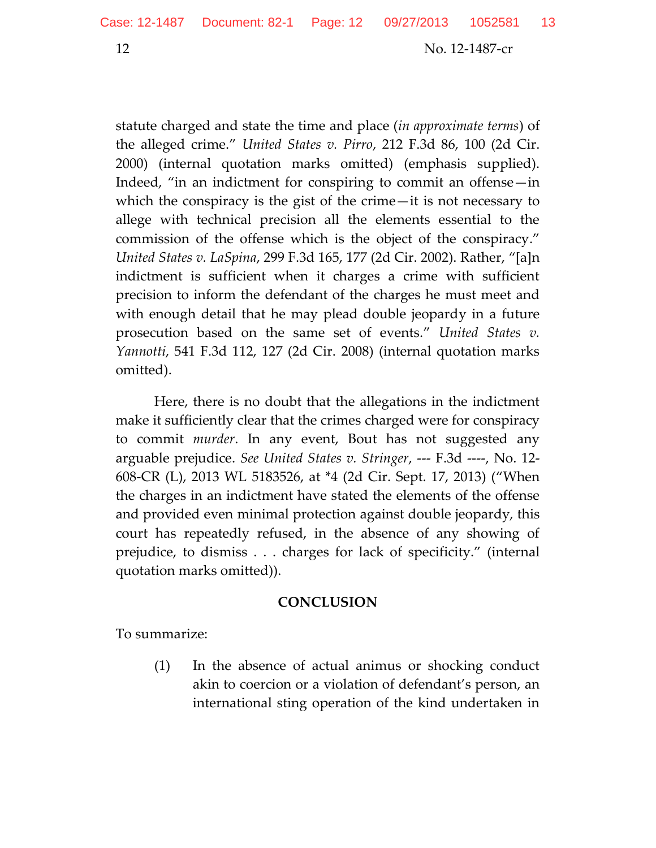statute charged and state the time and place (*in approximate terms*) of the alleged crime." *United States v. Pirro*, 212 F.3d 86, 100 (2d Cir. 2000) (internal quotation marks omitted) (emphasis supplied). Indeed, "in an indictment for conspiring to commit an offense—in which the conspiracy is the gist of the crime—it is not necessary to allege with technical precision all the elements essential to the commission of the offense which is the object of the conspiracy." *United States v. LaSpina*, 299 F.3d 165, 177 (2d Cir. 2002). Rather, "[a]n indictment is sufficient when it charges a crime with sufficient precision to inform the defendant of the charges he must meet and with enough detail that he may plead double jeopardy in a future prosecution based on the same set of events." *United States v. Yannotti*, 541 F.3d 112, 127 (2d Cir. 2008) (internal quotation marks omitted).

Here, there is no doubt that the allegations in the indictment make it sufficiently clear that the crimes charged were for conspiracy to commit *murder*. In any event, Bout has not suggested any arguable prejudice. *See United States v. Stringer*, --- F.3d ----, No. 12- 608-CR (L), 2013 WL 5183526, at \*4 (2d Cir. Sept. 17, 2013) ("When the charges in an indictment have stated the elements of the offense and provided even minimal protection against double jeopardy, this court has repeatedly refused, in the absence of any showing of prejudice, to dismiss . . . charges for lack of specificity." (internal quotation marks omitted)).

### **CONCLUSION**

To summarize:

(1) In the absence of actual animus or shocking conduct akin to coercion or a violation of defendant's person, an international sting operation of the kind undertaken in